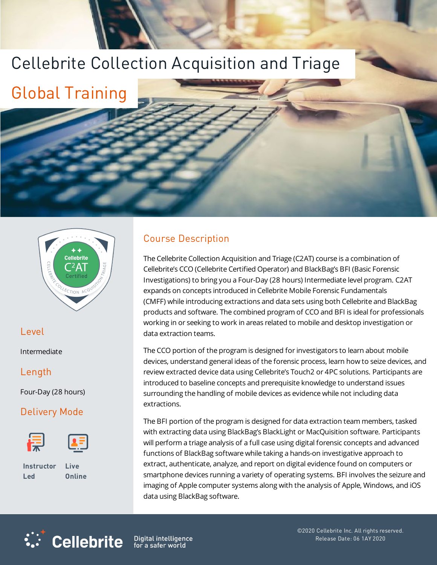# Cellebrite Collection Acquisition and Triage

Global Training



## Level

Intermediate

#### Length

Four-Day (28 hours)

# Delivery Mode





**Instructor Led**

**Live Online**

**Cellebrite** 

# Course Description

The Cellebrite Collection Acquisition and Triage (C2AT) course is a combination of Cellebrite's CCO (Cellebrite Certified Operator) and BlackBag's BFI (Basic Forensic Investigations) to bring you a Four-Day (28 hours) Intermediate level program. C2AT expands on concepts introduced in Cellebrite Mobile Forensic Fundamentals (CMFF) while introducing extractions and data sets using both Cellebrite and BlackBag products and software. The combined program of CCO and BFI is ideal for professionals working in or seeking to work in areas related to mobile and desktop investigation or data extraction teams.

The CCO portion of the program is designed for investigators to learn about mobile devices, understand general ideas of the forensic process, learn how to seize devices, and review extracted device data using Cellebrite's Touch2 or 4PC solutions. Participants are introduced to baseline concepts and prerequisite knowledge to understand issues surrounding the handling of mobile devices as evidence while not including data extractions.

The BFI portion of the program is designed for data extraction team members, tasked with extracting data using BlackBag's BlackLight or MacQuisition software. Participants will perform a triage analysis of a full case using digital forensic concepts and advanced functions of BlackBag software while taking a hands-on investigative approach to extract, authenticate, analyze, and report on digital evidence found on computers or smartphone devices running a variety of operating systems. BFI involves the seizure and imaging of Apple computer systems along with the analysis of Apple, Windows, and iOS data using BlackBag software.



Digital intelligence<br>for a safer world

©2020 Cellebrite Inc. All rights reserved. Release Date: 06 1AY 2020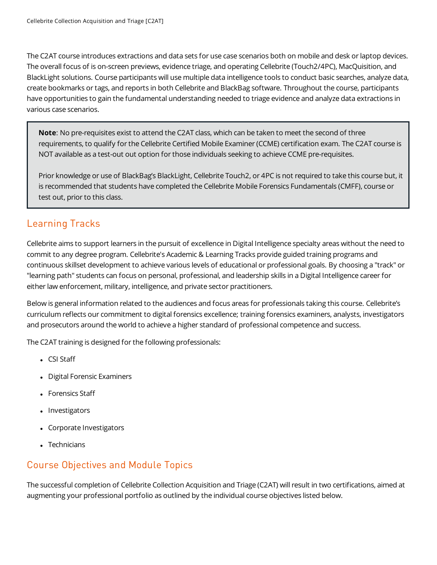The C2AT course introduces extractions and data sets for use case scenarios both on mobile and desk or laptop devices. The overall focus of is on-screen previews, evidence triage, and operating Cellebrite (Touch2/4PC), MacQuisition, and BlackLight solutions. Course participants will use multiple data intelligence tools to conduct basic searches, analyze data, create bookmarks or tags, and reports in both Cellebrite and BlackBag software. Throughout the course, participants have opportunities to gain the fundamental understanding needed to triage evidence and analyze data extractions in various case scenarios.

**Note**: No pre-requisites exist to attend the C2AT class, which can be taken to meet the second of three requirements, to qualify for the Cellebrite Certified Mobile Examiner (CCME) certification exam. The C2AT course is NOT available as a test-out out option for those individuals seeking to achieve CCME pre-requisites.

Prior knowledge or use of BlackBag's BlackLight, Cellebrite Touch2, or 4PC is not required to take this course but, it is recommended that students have completed the Cellebrite Mobile Forensics Fundamentals (CMFF), course or test out, prior to this class.

## Learning Tracks

Cellebrite aims to support learners in the pursuit of excellence in Digital Intelligence specialty areas without the need to commit to any degree program. Cellebrite's Academic & Learning Tracks provide guided training programs and continuous skillset development to achieve various levels of educational or professional goals. By choosing a "track" or "learning path" students can focus on personal, professional, and leadership skills in a Digital Intelligence career for either law enforcement, military, intelligence, and private sector practitioners.

Below is general information related to the audiences and focus areas for professionals taking this course. Cellebrite's curriculum reflects our commitment to digital forensics excellence; training forensics examiners, analysts, investigators and prosecutors around the world to achieve a higher standard of professional competence and success.

The C2AT training is designed for the following professionals:

- CSI Staff
- Digital Forensic Examiners
- Forensics Staff
- Investigators
- Corporate Investigators
- $\bullet$  Technicians

#### Course Objectives and Module Topics

The successful completion of Cellebrite Collection Acquisition and Triage (C2AT) will result in two certifications, aimed at augmenting your professional portfolio as outlined by the individual course objectives listed below.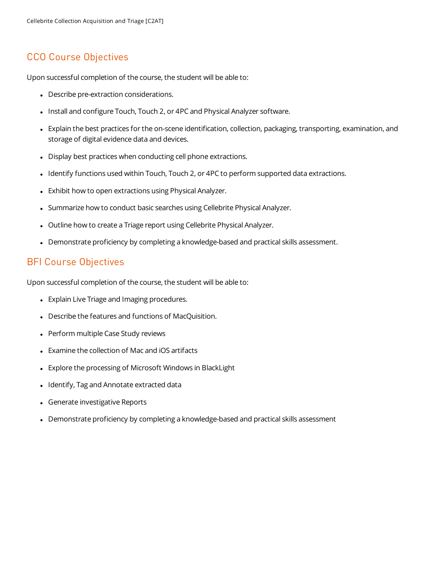#### CCO Course Objectives

Upon successful completion of the course, the student will be able to:

- Describe pre-extraction considerations.
- Install and configure Touch, Touch 2, or 4PC and Physical Analyzer software.
- Explain the best practices for the on-scene identification, collection, packaging, transporting, examination, and storage of digital evidence data and devices.
- Display best practices when conducting cell phone extractions.
- Identify functions used within Touch, Touch 2, or 4PC to perform supported data extractions.
- Exhibit how to open extractions using Physical Analyzer.
- Summarize how to conduct basic searches using Cellebrite Physical Analyzer.
- Outline how to create a Triage report using Cellebrite Physical Analyzer.
- Demonstrate proficiency by completing a knowledge-based and practical skills assessment.

#### BFI Course Objectives

Upon successful completion of the course, the student will be able to:

- Explain Live Triage and Imaging procedures.
- Describe the features and functions of MacQuisition.
- Perform multiple Case Study reviews
- Examine the collection of Mac and iOS artifacts
- Explore the processing of Microsoft Windows in BlackLight
- Identify, Tag and Annotate extracted data
- **Generate investigative Reports**
- Demonstrate proficiency by completing a knowledge-based and practical skills assessment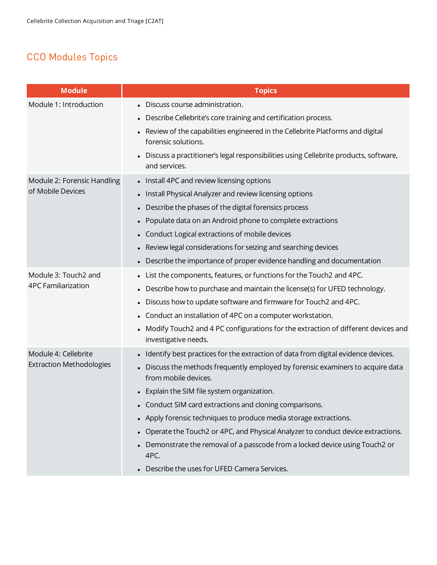# CCO Modules Topics

| <b>Module</b>                                           | <b>Topics</b>                                                                                             |
|---------------------------------------------------------|-----------------------------------------------------------------------------------------------------------|
| Module 1: Introduction                                  | Discuss course administration.                                                                            |
|                                                         | Describe Cellebrite's core training and certification process.                                            |
|                                                         | Review of the capabilities engineered in the Cellebrite Platforms and digital<br>forensic solutions.      |
|                                                         | Discuss a practitioner's legal responsibilities using Cellebrite products, software,<br>and services.     |
| Module 2: Forensic Handling<br>of Mobile Devices        | • Install 4PC and review licensing options                                                                |
|                                                         | Install Physical Analyzer and review licensing options                                                    |
|                                                         | Describe the phases of the digital forensics process                                                      |
|                                                         | Populate data on an Android phone to complete extractions                                                 |
|                                                         | Conduct Logical extractions of mobile devices                                                             |
|                                                         | Review legal considerations for seizing and searching devices                                             |
|                                                         | • Describe the importance of proper evidence handling and documentation                                   |
| Module 3: Touch2 and                                    | List the components, features, or functions for the Touch2 and 4PC.                                       |
| <b>4PC Familiarization</b>                              | Describe how to purchase and maintain the license(s) for UFED technology.                                 |
|                                                         | Discuss how to update software and firmware for Touch2 and 4PC.                                           |
|                                                         | Conduct an installation of 4PC on a computer workstation.                                                 |
|                                                         | Modify Touch2 and 4 PC configurations for the extraction of different devices and<br>investigative needs. |
| Module 4: Cellebrite<br><b>Extraction Methodologies</b> | Identify best practices for the extraction of data from digital evidence devices.                         |
|                                                         | Discuss the methods frequently employed by forensic examiners to acquire data<br>from mobile devices.     |
|                                                         | • Explain the SIM file system organization.                                                               |
|                                                         | • Conduct SIM card extractions and cloning comparisons.                                                   |
|                                                         | • Apply forensic techniques to produce media storage extractions.                                         |
|                                                         | Operate the Touch2 or 4PC, and Physical Analyzer to conduct device extractions.                           |
|                                                         | Demonstrate the removal of a passcode from a locked device using Touch2 or<br>4PC.                        |
|                                                         | Describe the uses for UFED Camera Services.                                                               |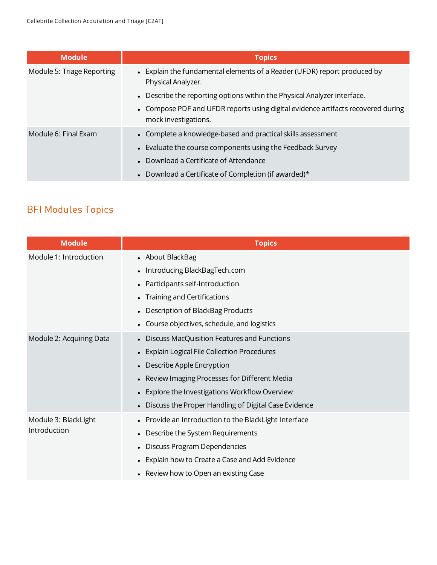| <b>Module</b>              | <b>Topics</b>                                                                                            |
|----------------------------|----------------------------------------------------------------------------------------------------------|
| Module 5: Triage Reporting | • Explain the fundamental elements of a Reader (UFDR) report produced by<br>Physical Analyzer.           |
|                            | • Describe the reporting options within the Physical Analyzer interface.                                 |
|                            | • Compose PDF and UFDR reports using digital evidence artifacts recovered during<br>mock investigations. |
| Module 6: Final Exam       | • Complete a knowledge-based and practical skills assessment                                             |
|                            | • Evaluate the course components using the Feedback Survey                                               |
|                            | • Download a Certificate of Attendance                                                                   |
|                            | • Download a Certificate of Completion (if awarded)*                                                     |

# BFI Modules Topics

| <b>Module</b>                        | <b>Topics</b>                                          |
|--------------------------------------|--------------------------------------------------------|
| Module 1: Introduction               | • About BlackBag                                       |
|                                      | Introducing BlackBagTech.com                           |
|                                      | Participants self-Introduction                         |
|                                      | Training and Certifications                            |
|                                      | Description of BlackBag Products                       |
|                                      | Course objectives, schedule, and logistics             |
| Module 2: Acquiring Data             | Discuss MacQuisition Features and Functions            |
|                                      | <b>Explain Logical File Collection Procedures</b>      |
|                                      | Describe Apple Encryption                              |
|                                      | Review Imaging Processes for Different Media           |
|                                      | Explore the Investigations Workflow Overview           |
|                                      | • Discuss the Proper Handling of Digital Case Evidence |
| Module 3: BlackLight<br>Introduction | Provide an Introduction to the BlackLight Interface    |
|                                      | Describe the System Requirements                       |
|                                      | Discuss Program Dependencies                           |
|                                      | Explain how to Create a Case and Add Evidence          |
|                                      | Review how to Open an existing Case                    |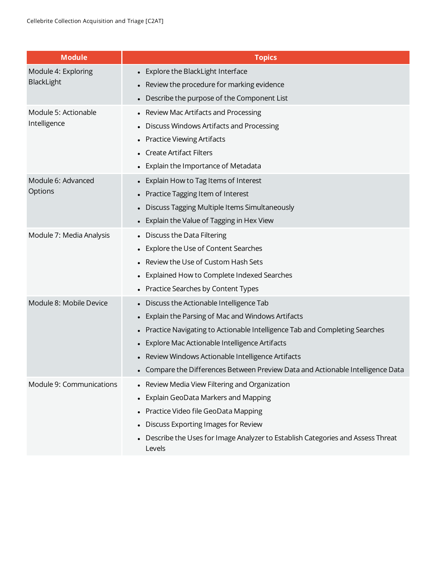| <b>Module</b>                        | <b>Topics</b>                                                                            |
|--------------------------------------|------------------------------------------------------------------------------------------|
| Module 4: Exploring<br>BlackLight    | • Explore the BlackLight Interface                                                       |
|                                      | • Review the procedure for marking evidence                                              |
|                                      | Describe the purpose of the Component List                                               |
| Module 5: Actionable<br>Intelligence | Review Mac Artifacts and Processing                                                      |
|                                      | Discuss Windows Artifacts and Processing                                                 |
|                                      | • Practice Viewing Artifacts                                                             |
|                                      | <b>Create Artifact Filters</b>                                                           |
|                                      | • Explain the Importance of Metadata                                                     |
| Module 6: Advanced                   | Explain How to Tag Items of Interest                                                     |
| Options                              | • Practice Tagging Item of Interest                                                      |
|                                      | • Discuss Tagging Multiple Items Simultaneously                                          |
|                                      | • Explain the Value of Tagging in Hex View                                               |
| Module 7: Media Analysis             | • Discuss the Data Filtering                                                             |
|                                      | Explore the Use of Content Searches                                                      |
|                                      | Review the Use of Custom Hash Sets                                                       |
|                                      | • Explained How to Complete Indexed Searches                                             |
|                                      | • Practice Searches by Content Types                                                     |
| Module 8: Mobile Device              | • Discuss the Actionable Intelligence Tab                                                |
|                                      | Explain the Parsing of Mac and Windows Artifacts                                         |
|                                      | Practice Navigating to Actionable Intelligence Tab and Completing Searches               |
|                                      | Explore Mac Actionable Intelligence Artifacts                                            |
|                                      | • Review Windows Actionable Intelligence Artifacts                                       |
|                                      | • Compare the Differences Between Preview Data and Actionable Intelligence Data          |
| Module 9: Communications             | • Review Media View Filtering and Organization                                           |
|                                      | <b>Explain GeoData Markers and Mapping</b>                                               |
|                                      | Practice Video file GeoData Mapping                                                      |
|                                      | Discuss Exporting Images for Review                                                      |
|                                      | Describe the Uses for Image Analyzer to Establish Categories and Assess Threat<br>Levels |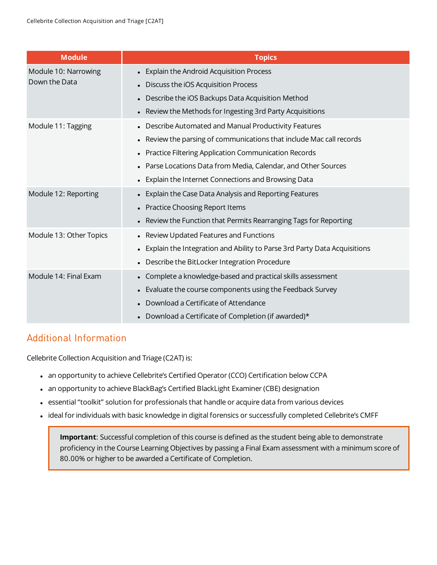| <b>Module</b>                         | <b>Topics</b>                                                              |
|---------------------------------------|----------------------------------------------------------------------------|
| Module 10: Narrowing<br>Down the Data | • Explain the Android Acquisition Process                                  |
|                                       | Discuss the iOS Acquisition Process                                        |
|                                       | Describe the iOS Backups Data Acquisition Method                           |
|                                       | • Review the Methods for Ingesting 3rd Party Acquisitions                  |
| Module 11: Tagging                    | • Describe Automated and Manual Productivity Features                      |
|                                       | • Review the parsing of communications that include Mac call records       |
|                                       | • Practice Filtering Application Communication Records                     |
|                                       | • Parse Locations Data from Media, Calendar, and Other Sources             |
|                                       | • Explain the Internet Connections and Browsing Data                       |
| Module 12: Reporting                  | • Explain the Case Data Analysis and Reporting Features                    |
|                                       | • Practice Choosing Report Items                                           |
|                                       | • Review the Function that Permits Rearranging Tags for Reporting          |
| Module 13: Other Topics               | • Review Updated Features and Functions                                    |
|                                       | • Explain the Integration and Ability to Parse 3rd Party Data Acquisitions |
|                                       | • Describe the BitLocker Integration Procedure                             |
| Module 14: Final Exam                 | • Complete a knowledge-based and practical skills assessment               |
|                                       | • Evaluate the course components using the Feedback Survey                 |
|                                       | Download a Certificate of Attendance                                       |
|                                       | Download a Certificate of Completion (if awarded)*                         |

## Additional Information

Cellebrite Collection Acquisition and Triage (C2AT) is:

- an opportunity to achieve Cellebrite's Certified Operator (CCO) Certification below CCPA
- an opportunity to achieve BlackBag's Certified BlackLight Examiner (CBE) designation
- essential "toolkit" solution for professionals that handle or acquire data from various devices
- ideal for individuals with basic knowledge in digital forensics or successfully completed Cellebrite's CMFF

**Important**: Successful completion of this course is defined as the student being able to demonstrate proficiency in the Course Learning Objectives by passing a Final Exam assessment with a minimum score of 80.00% or higher to be awarded a Certificate of Completion.